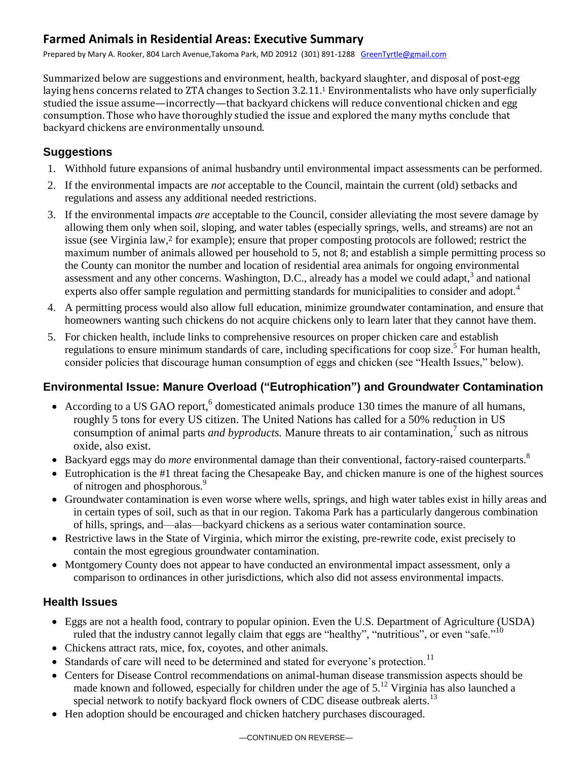# **Farmed Animals in Residential Areas: Executive Summary**

Prepared by Mary A. Rooker, 804 Larch Avenue,Takoma Park, MD 20912 (301) 891-1288 [GreenTyrtle@gmail.com](mailto:GreenTyrtle@gmail.com)

Summarized below are suggestions and environment, health, backyard slaughter, and disposal of post-egg laying hens concerns related to ZTA changes to Section 3.2.11. <sup>1</sup> Environmentalists who have only superficially studied the issue assume—incorrectly—that backyard chickens will reduce conventional chicken and egg consumption. Those who have thoroughly studied the issue and explored the many myths conclude that backyard chickens are environmentally unsound.

## **Suggestions**

- 1. Withhold future expansions of animal husbandry until environmental impact assessments can be performed.
- 2. If the environmental impacts are *not* acceptable to the Council, maintain the current (old) setbacks and regulations and assess any additional needed restrictions.
- 3. If the environmental impacts *are* acceptable to the Council, consider alleviating the most severe damage by allowing them only when soil, sloping, and water tables (especially springs, wells, and streams) are not an issue (see Virginia law,<sup>2</sup> for example); ensure that proper composting protocols are followed; restrict the maximum number of animals allowed per household to 5, not 8; and establish a simple permitting process so the County can monitor the number and location of residential area animals for ongoing environmental assessment and any other concerns. Washington, D.C., already has a model we could adapt, $3$  and national experts also offer sample regulation and permitting standards for municipalities to consider and adopt.<sup>4</sup>
- 4. A permitting process would also allow full education, minimize groundwater contamination, and ensure that homeowners wanting such chickens do not acquire chickens only to learn later that they cannot have them.
- 5. For chicken health, include links to comprehensive resources on proper chicken care and establish regulations to ensure minimum standards of care, including specifications for coop size.<sup>5</sup> For human health, consider policies that discourage human consumption of eggs and chicken (see "Health Issues," below).

## **Environmental Issue: Manure Overload ("Eutrophication") and Groundwater Contamination**

- According to a US GAO report,<sup>6</sup> domesticated animals produce 130 times the manure of all humans, roughly 5 tons for every US citizen. The United Nations has called for a 50% reduction in US consumption of animal parts *and byproducts*. Manure threats to air contamination,<sup>7</sup> such as nitrous oxide, also exist.
- Backyard eggs may do *more* environmental damage than their conventional, factory-raised counterparts.<sup>8</sup>
- Eutrophication is the #1 threat facing the Chesapeake Bay, and chicken manure is one of the highest sources of nitrogen and phosphorous.<sup>9</sup>
- Groundwater contamination is even worse where wells, springs, and high water tables exist in hilly areas and in certain types of soil, such as that in our region. Takoma Park has a particularly dangerous combination of hills, springs, and—alas—backyard chickens as a serious water contamination source.
- Restrictive laws in the State of Virginia, which mirror the existing, pre-rewrite code, exist precisely to contain the most egregious groundwater contamination.
- Montgomery County does not appear to have conducted an environmental impact assessment, only a comparison to ordinances in other jurisdictions, which also did not assess environmental impacts.

## **Health Issues**

- Eggs are not a health food, contrary to popular opinion. Even the U.S. Department of Agriculture (USDA) ruled that the industry cannot legally claim that eggs are "healthy", "nutritious", or even "safe." $10$
- Chickens attract rats, mice, fox, coyotes, and other animals.
- $\bullet$  Standards of care will need to be determined and stated for everyone's protection.<sup>11</sup>
- Centers for Disease Control recommendations on animal-human disease transmission aspects should be made known and followed, especially for children under the age of 5.<sup>12</sup> Virginia has also launched a special network to notify backyard flock owners of CDC disease outbreak alerts.<sup>13</sup>
- Hen adoption should be encouraged and chicken hatchery purchases discouraged.